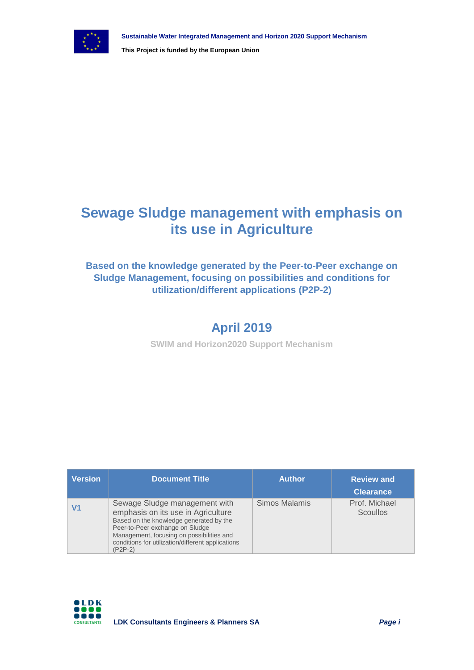

# **Sewage Sludge management with emphasis on its use in Agriculture**

## **Based on the knowledge generated by the Peer-to-Peer exchange on Sludge Management, focusing on possibilities and conditions for utilization/different applications (P2P-2)**

# **April 2019**

**SWIM and Horizon2020 Support Mechanism**

| <b>Version</b> | <b>Document Title</b>                                                                                                                                                                                                                                          | <b>Author</b> | <b>Review and</b><br><b>Clearance</b> |
|----------------|----------------------------------------------------------------------------------------------------------------------------------------------------------------------------------------------------------------------------------------------------------------|---------------|---------------------------------------|
| V1             | Sewage Sludge management with<br>emphasis on its use in Agriculture<br>Based on the knowledge generated by the<br>Peer-to-Peer exchange on Sludge<br>Management, focusing on possibilities and<br>conditions for utilization/different applications<br>(P2P-2) | Simos Malamis | Prof. Michael<br>Scoullos             |

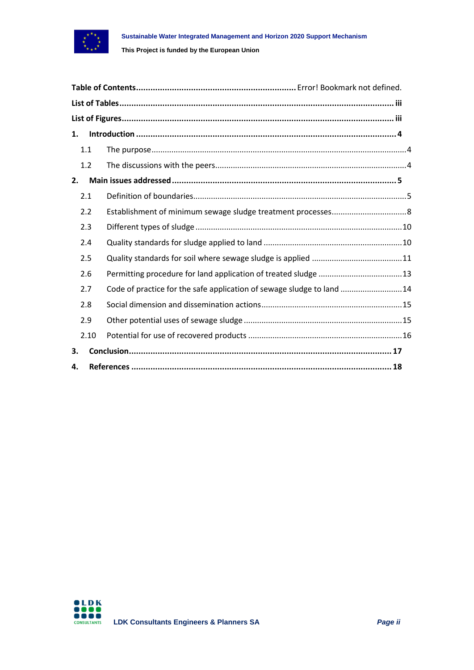

| 1.   |                                                                       |  |
|------|-----------------------------------------------------------------------|--|
| 1.1  |                                                                       |  |
| 1.2  |                                                                       |  |
| 2.   |                                                                       |  |
| 2.1  |                                                                       |  |
| 2.2  |                                                                       |  |
| 2.3  |                                                                       |  |
| 2.4  |                                                                       |  |
| 2.5  |                                                                       |  |
| 2.6  |                                                                       |  |
| 2.7  | Code of practice for the safe application of sewage sludge to land 14 |  |
| 2.8  |                                                                       |  |
| 2.9  |                                                                       |  |
| 2.10 |                                                                       |  |
| 3.   |                                                                       |  |
| 4.   |                                                                       |  |

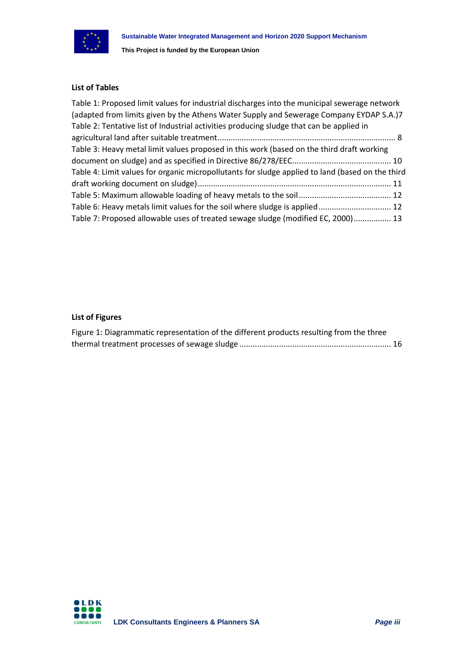

#### <span id="page-2-0"></span>**List of Tables**

| Table 1: Proposed limit values for industrial discharges into the municipal sewerage network     |
|--------------------------------------------------------------------------------------------------|
| (adapted from limits given by the Athens Water Supply and Sewerage Company EYDAP S.A.)7          |
|                                                                                                  |
|                                                                                                  |
|                                                                                                  |
|                                                                                                  |
| Table 4: Limit values for organic micropollutants for sludge applied to land (based on the third |
|                                                                                                  |
|                                                                                                  |
| Table 6: Heavy metals limit values for the soil where sludge is applied 12                       |
| Table 7: Proposed allowable uses of treated sewage sludge (modified EC, 2000) 13                 |
|                                                                                                  |

#### <span id="page-2-1"></span>**List of Figures**

| Figure 1: Diagrammatic representation of the different products resulting from the three |  |
|------------------------------------------------------------------------------------------|--|
|                                                                                          |  |

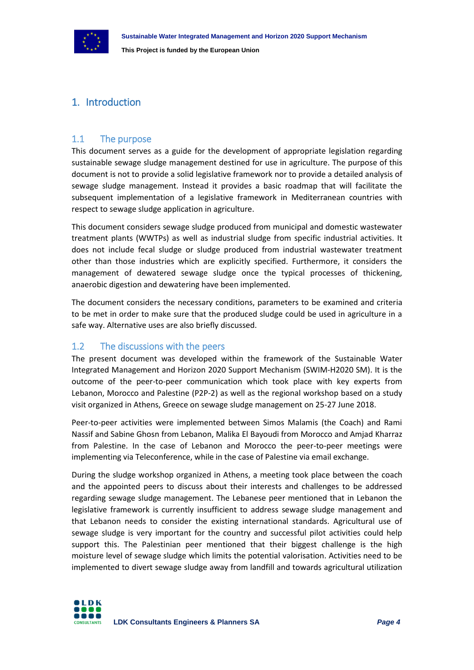

# <span id="page-3-0"></span>1. Introduction

## <span id="page-3-1"></span>1.1 The purpose

This document serves as a guide for the development of appropriate legislation regarding sustainable sewage sludge management destined for use in agriculture. The purpose of this document is not to provide a solid legislative framework nor to provide a detailed analysis of sewage sludge management. Instead it provides a basic roadmap that will facilitate the subsequent implementation of a legislative framework in Mediterranean countries with respect to sewage sludge application in agriculture.

This document considers sewage sludge produced from municipal and domestic wastewater treatment plants (WWTPs) as well as industrial sludge from specific industrial activities. It does not include fecal sludge or sludge produced from industrial wastewater treatment other than those industries which are explicitly specified. Furthermore, it considers the management of dewatered sewage sludge once the typical processes of thickening, anaerobic digestion and dewatering have been implemented.

The document considers the necessary conditions, parameters to be examined and criteria to be met in order to make sure that the produced sludge could be used in agriculture in a safe way. Alternative uses are also briefly discussed.

## <span id="page-3-2"></span>1.2 The discussions with the peers

The present document was developed within the framework of the Sustainable Water Integrated Management and Horizon 2020 Support Mechanism (SWIM-H2020 SM). It is the outcome of the peer-to-peer communication which took place with key experts from Lebanon, Morocco and Palestine (P2P-2) as well as the regional workshop based on a study visit organized in Athens, Greece on sewage sludge management on 25-27 June 2018.

Peer-to-peer activities were implemented between Simos Malamis (the Coach) and Rami Nassif and Sabine Ghosn from Lebanon, Malika El Bayoudi from Morocco and Amjad Kharraz from Palestine. In the case of Lebanon and Morocco the peer-to-peer meetings were implementing via Teleconference, while in the case of Palestine via email exchange.

During the sludge workshop organized in Athens, a meeting took place between the coach and the appointed peers to discuss about their interests and challenges to be addressed regarding sewage sludge management. The Lebanese peer mentioned that in Lebanon the legislative framework is currently insufficient to address sewage sludge management and that Lebanon needs to consider the existing international standards. Agricultural use of sewage sludge is very important for the country and successful pilot activities could help support this. The Palestinian peer mentioned that their biggest challenge is the high moisture level of sewage sludge which limits the potential valorisation. Activities need to be implemented to divert sewage sludge away from landfill and towards agricultural utilization

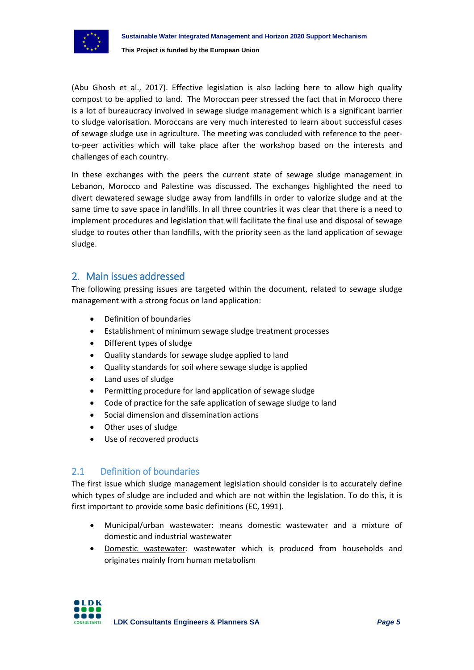

(Abu Ghosh et al., 2017). Effective legislation is also lacking here to allow high quality compost to be applied to land. The Moroccan peer stressed the fact that in Morocco there is a lot of bureaucracy involved in sewage sludge management which is a significant barrier to sludge valorisation. Moroccans are very much interested to learn about successful cases of sewage sludge use in agriculture. The meeting was concluded with reference to the peerto-peer activities which will take place after the workshop based on the interests and challenges of each country.

In these exchanges with the peers the current state of sewage sludge management in Lebanon, Morocco and Palestine was discussed. The exchanges highlighted the need to divert dewatered sewage sludge away from landfills in order to valorize sludge and at the same time to save space in landfills. In all three countries it was clear that there is a need to implement procedures and legislation that will facilitate the final use and disposal of sewage sludge to routes other than landfills, with the priority seen as the land application of sewage sludge.

## <span id="page-4-0"></span>2. Main issues addressed

The following pressing issues are targeted within the document, related to sewage sludge management with a strong focus on land application:

- Definition of boundaries
- Establishment of minimum sewage sludge treatment processes
- Different types of sludge
- Quality standards for sewage sludge applied to land
- Quality standards for soil where sewage sludge is applied
- Land uses of sludge
- Permitting procedure for land application of sewage sludge
- Code of practice for the safe application of sewage sludge to land
- Social dimension and dissemination actions
- Other uses of sludge
- Use of recovered products

## <span id="page-4-1"></span>2.1 Definition of boundaries

The first issue which sludge management legislation should consider is to accurately define which types of sludge are included and which are not within the legislation. To do this, it is first important to provide some basic definitions (EC, 1991).

- Municipal/urban wastewater: means domestic wastewater and a mixture of domestic and industrial wastewater
- Domestic wastewater: wastewater which is produced from households and originates mainly from human metabolism

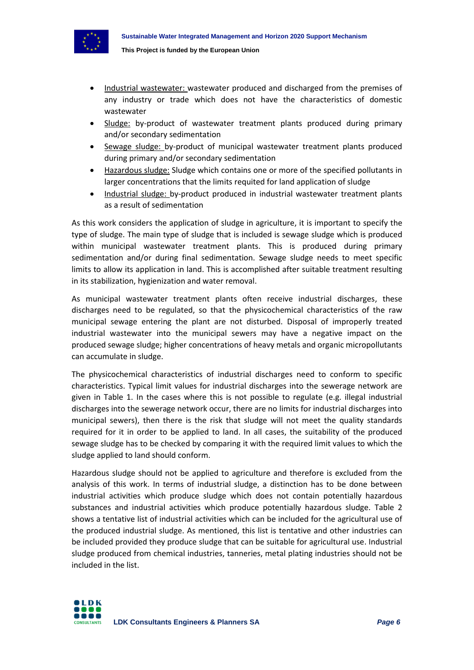

**This Project is funded by the European Union**

- Industrial wastewater: wastewater produced and discharged from the premises of any industry or trade which does not have the characteristics of domestic wastewater
- Sludge: by-product of wastewater treatment plants produced during primary and/or secondary sedimentation
- Sewage sludge: by-product of municipal wastewater treatment plants produced during primary and/or secondary sedimentation
- Hazardous sludge: Sludge which contains one or more of the specified pollutants in larger concentrations that the limits requited for land application of sludge
- Industrial sludge: by-product produced in industrial wastewater treatment plants as a result of sedimentation

As this work considers the application of sludge in agriculture, it is important to specify the type of sludge. The main type of sludge that is included is sewage sludge which is produced within municipal wastewater treatment plants. This is produced during primary sedimentation and/or during final sedimentation. Sewage sludge needs to meet specific limits to allow its application in land. This is accomplished after suitable treatment resulting in its stabilization, hygienization and water removal.

As municipal wastewater treatment plants often receive industrial discharges, these discharges need to be regulated, so that the physicochemical characteristics of the raw municipal sewage entering the plant are not disturbed. Disposal of improperly treated industrial wastewater into the municipal sewers may have a negative impact on the produced sewage sludge; higher concentrations of heavy metals and organic micropollutants can accumulate in sludge.

The physicochemical characteristics of industrial discharges need to conform to specific characteristics. Typical limit values for industrial discharges into the sewerage network are given in Table 1. In the cases where this is not possible to regulate (e.g. illegal industrial discharges into the sewerage network occur, there are no limits for industrial discharges into municipal sewers), then there is the risk that sludge will not meet the quality standards required for it in order to be applied to land. In all cases, the suitability of the produced sewage sludge has to be checked by comparing it with the required limit values to which the sludge applied to land should conform.

Hazardous sludge should not be applied to agriculture and therefore is excluded from the analysis of this work. In terms of industrial sludge, a distinction has to be done between industrial activities which produce sludge which does not contain potentially hazardous substances and industrial activities which produce potentially hazardous sludge. Table 2 shows a tentative list of industrial activities which can be included for the agricultural use of the produced industrial sludge. As mentioned, this list is tentative and other industries can be included provided they produce sludge that can be suitable for agricultural use. Industrial sludge produced from chemical industries, tanneries, metal plating industries should not be included in the list.

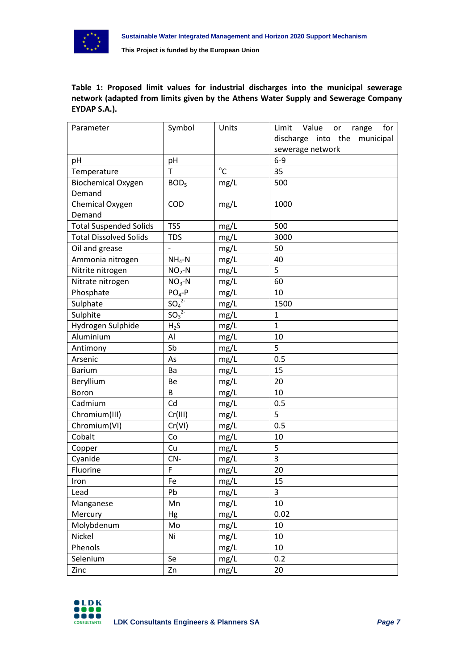

<span id="page-6-0"></span>**Table 1: Proposed limit values for industrial discharges into the municipal sewerage network (adapted from limits given by the Athens Water Supply and Sewerage Company EYDAP S.A.).**

| Parameter                                                      | Symbol                       | Units          | for<br>Value<br>Limit<br>range<br>or |
|----------------------------------------------------------------|------------------------------|----------------|--------------------------------------|
|                                                                |                              |                | municipal<br>discharge into the      |
|                                                                |                              |                | sewerage network<br>$6-9$            |
| pH                                                             | pH<br>$\mathsf T$            | $\overline{C}$ |                                      |
| Temperature                                                    |                              |                | 35                                   |
| <b>Biochemical Oxygen</b>                                      | BOD <sub>5</sub>             | mg/L           | 500                                  |
| Demand                                                         |                              |                |                                      |
| Chemical Oxygen<br>Demand                                      | COD                          | mg/L           | 1000                                 |
|                                                                | <b>TSS</b>                   |                | 500                                  |
| <b>Total Suspended Solids</b><br><b>Total Dissolved Solids</b> | <b>TDS</b>                   | mg/L           | 3000                                 |
|                                                                |                              | mg/L           | 50                                   |
| Oil and grease                                                 |                              | mg/L           |                                      |
| Ammonia nitrogen                                               | $NH4-N$                      | mg/L           | 40<br>5                              |
| Nitrite nitrogen                                               | $NO2-N$                      | mg/L           |                                      |
| Nitrate nitrogen                                               | $NO3-N$                      | mg/L           | 60                                   |
| Phosphate                                                      | $PO4-P$                      | mg/L           | 10                                   |
| Sulphate                                                       | SO <sub>4</sub> <sup>2</sup> | mg/L           | 1500                                 |
| Sulphite                                                       | SO <sub>3</sub> <sup>2</sup> | mg/L           | $\mathbf{1}$                         |
| Hydrogen Sulphide                                              | $H_2S$                       | mg/L           | $\mathbf{1}$                         |
| Aluminium                                                      | Al                           | mg/L           | 10                                   |
| Antimony                                                       | Sb                           | mg/L           | 5                                    |
| Arsenic                                                        | As                           | mg/L           | 0.5                                  |
| <b>Barium</b>                                                  | Ba                           | mg/L           | 15                                   |
| Beryllium                                                      | Be                           | mg/L           | 20                                   |
| Boron                                                          | B                            | mg/L           | 10                                   |
| Cadmium                                                        | Cd                           | mg/L           | 0.5                                  |
| Chromium(III)                                                  | Cr(III)                      | mg/L           | 5                                    |
| Chromium(VI)                                                   | Cr(VI)                       | mg/L           | 0.5                                  |
| Cobalt                                                         | Co                           | mg/L           | 10                                   |
| Copper                                                         | Cu                           | mg/L           | 5                                    |
| Cyanide                                                        | CN-                          | mg/L           | $\overline{3}$                       |
| Fluorine                                                       | F                            | mg/L           | 20                                   |
| Iron                                                           | Fe                           | mg/L           | $\overline{15}$                      |
| Lead                                                           | Pb                           | mg/L           | 3                                    |
| Manganese                                                      | Mn                           | mg/L           | 10                                   |
| Mercury                                                        | Hg                           | mg/L           | 0.02                                 |
| Molybdenum                                                     | Mo                           | mg/L           | 10                                   |
| Nickel                                                         | Ni                           | mg/L           | 10                                   |
| Phenols                                                        |                              | mg/L           | 10                                   |
| Selenium                                                       | Se                           | mg/L           | 0.2                                  |
| Zinc                                                           | Zn                           | mg/L           | 20                                   |

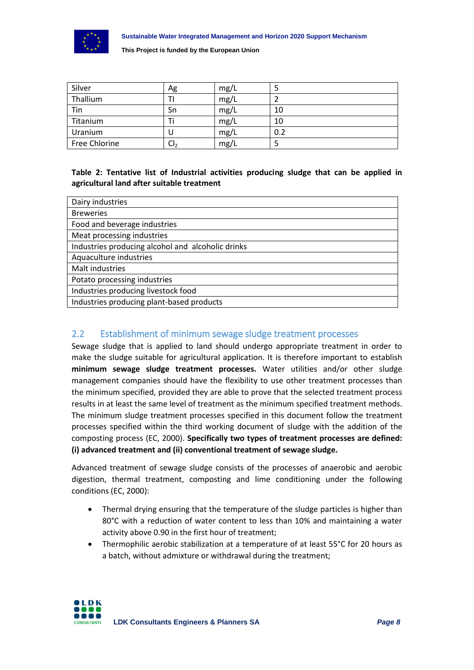

**This Project is funded by the European Union**

| Silver        | Ag             | mg/L |     |
|---------------|----------------|------|-----|
| Thallium      |                | mg/L |     |
| Tin           | Sn             | mg/L | 10  |
| Titanium      |                | mg/L | 10  |
| Uranium       |                | mg/L | 0.2 |
| Free Chlorine | $\mathsf{U}_2$ | mg/L |     |

#### <span id="page-7-1"></span>**Table 2: Tentative list of Industrial activities producing sludge that can be applied in agricultural land after suitable treatment**

| Dairy industries                                  |
|---------------------------------------------------|
| <b>Breweries</b>                                  |
| Food and beverage industries                      |
| Meat processing industries                        |
| Industries producing alcohol and alcoholic drinks |
| Aquaculture industries                            |
| Malt industries                                   |
| Potato processing industries                      |
| Industries producing livestock food               |
| Industries producing plant-based products         |
|                                                   |

## <span id="page-7-0"></span>2.2 Establishment of minimum sewage sludge treatment processes

Sewage sludge that is applied to land should undergo appropriate treatment in order to make the sludge suitable for agricultural application. It is therefore important to establish **minimum sewage sludge treatment processes.** Water utilities and/or other sludge management companies should have the flexibility to use other treatment processes than the minimum specified, provided they are able to prove that the selected treatment process results in at least the same level of treatment as the minimum specified treatment methods. The minimum sludge treatment processes specified in this document follow the treatment processes specified within the third working document of sludge with the addition of the composting process (EC, 2000). **Specifically two types of treatment processes are defined: (i) advanced treatment and (ii) conventional treatment of sewage sludge.**

Advanced treatment of sewage sludge consists of the processes of anaerobic and aerobic digestion, thermal treatment, composting and lime conditioning under the following conditions (EC, 2000):

- Thermal drying ensuring that the temperature of the sludge particles is higher than 80°C with a reduction of water content to less than 10% and maintaining a water activity above 0.90 in the first hour of treatment;
- Thermophilic aerobic stabilization at a temperature of at least 55°C for 20 hours as a batch, without admixture or withdrawal during the treatment;

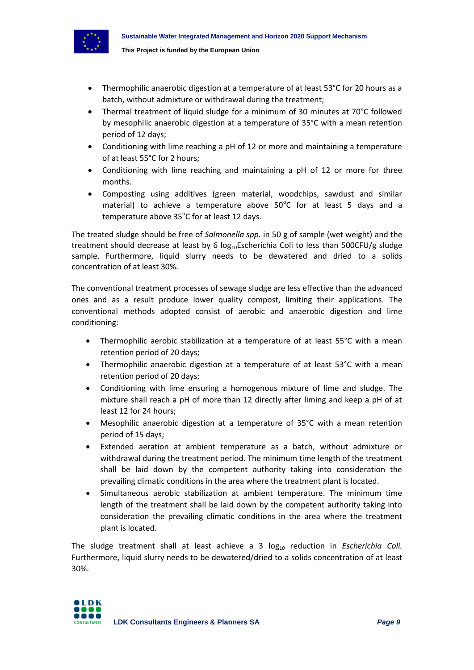

- Thermophilic anaerobic digestion at a temperature of at least 53°C for 20 hours as a batch, without admixture or withdrawal during the treatment;
- Thermal treatment of liquid sludge for a minimum of 30 minutes at 70°C followed by mesophilic anaerobic digestion at a temperature of 35°C with a mean retention period of 12 days;
- Conditioning with lime reaching a pH of 12 or more and maintaining a temperature of at least 55°C for 2 hours;
- Conditioning with lime reaching and maintaining a pH of 12 or more for three months.
- Composting using additives (green material, woodchips, sawdust and similar material) to achieve a temperature above  $50^{\circ}$ C for at least 5 days and a temperature above 35°C for at least 12 days.

The treated sludge should be free of *Salmonella spp.* in 50 g of sample (wet weight) and the treatment should decrease at least by 6  $log_{10}$ Escherichia Coli to less than 500CFU/g sludge sample. Furthermore, liquid slurry needs to be dewatered and dried to a solids concentration of at least 30%.

The conventional treatment processes of sewage sludge are less effective than the advanced ones and as a result produce lower quality compost, limiting their applications. The conventional methods adopted consist of aerobic and anaerobic digestion and lime conditioning:

- Thermophilic aerobic stabilization at a temperature of at least 55°C with a mean retention period of 20 days;
- Thermophilic anaerobic digestion at a temperature of at least 53°C with a mean retention period of 20 days;
- Conditioning with lime ensuring a homogenous mixture of lime and sludge. The mixture shall reach a pH of more than 12 directly after liming and keep a pH of at least 12 for 24 hours;
- Mesophilic anaerobic digestion at a temperature of 35°C with a mean retention period of 15 days;
- Extended aeration at ambient temperature as a batch, without admixture or withdrawal during the treatment period. The minimum time length of the treatment shall be laid down by the competent authority taking into consideration the prevailing climatic conditions in the area where the treatment plant is located.
- Simultaneous aerobic stabilization at ambient temperature. The minimum time length of the treatment shall be laid down by the competent authority taking into consideration the prevailing climatic conditions in the area where the treatment plant is located.

The sludge treatment shall at least achieve a 3 log<sub>10</sub> reduction in *Escherichia Coli*. Furthermore, liquid slurry needs to be dewatered/dried to a solids concentration of at least 30%.

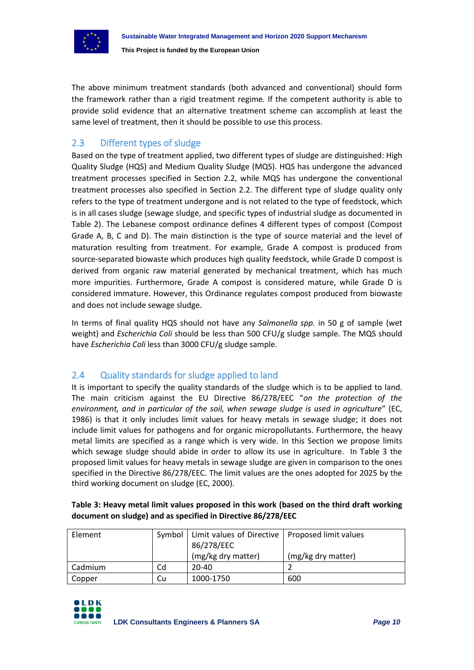

The above minimum treatment standards (both advanced and conventional) should form the framework rather than a rigid treatment regime. If the competent authority is able to provide solid evidence that an alternative treatment scheme can accomplish at least the same level of treatment, then it should be possible to use this process.

## <span id="page-9-0"></span>2.3 Different types of sludge

Based on the type of treatment applied, two different types of sludge are distinguished: High Quality Sludge (HQS) and Medium Quality Sludge (MQS). HQS has undergone the advanced treatment processes specified in Section 2.2, while MQS has undergone the conventional treatment processes also specified in Section 2.2. The different type of sludge quality only refers to the type of treatment undergone and is not related to the type of feedstock, which is in all cases sludge (sewage sludge, and specific types of industrial sludge as documented in Table 2). The Lebanese compost ordinance defines 4 different types of compost (Compost Grade A, B, C and D). The main distinction is the type of source material and the level of maturation resulting from treatment. For example, Grade A compost is produced from source-separated biowaste which produces high quality feedstock, while Grade D compost is derived from organic raw material generated by mechanical treatment, which has much more impurities. Furthermore, Grade A compost is considered mature, while Grade D is considered immature. However, this Ordinance regulates compost produced from biowaste and does not include sewage sludge.

In terms of final quality HQS should not have any *Salmonella spp.* in 50 g of sample (wet weight) and *Escherichia Coli* should be less than 500 CFU/g sludge sample. The MQS should have *Escherichia Coli* less than 3000 CFU/g sludge sample.

## <span id="page-9-1"></span>2.4 Quality standards for sludge applied to land

It is important to specify the quality standards of the sludge which is to be applied to land. The main criticism against the EU Directive 86/278/EEC "*on the protection of the environment, and in particular of the soil, when sewage sludge is used in agriculture*" (EC, 1986) is that it only includes limit values for heavy metals in sewage sludge; it does not include limit values for pathogens and for organic micropollutants. Furthermore, the heavy metal limits are specified as a range which is very wide. In this Section we propose limits which sewage sludge should abide in order to allow its use in agriculture. In Table 3 the proposed limit values for heavy metals in sewage sludge are given in comparison to the ones specified in the Directive 86/278/EEC. The limit values are the ones adopted for 2025 by the third working document on sludge (EC, 2000).

### <span id="page-9-2"></span>**Table 3: Heavy metal limit values proposed in this work (based on the third draft working document on sludge) and as specified in Directive 86/278/EEC**

| Element |    | Symbol   Limit values of Directive   Proposed limit values<br>86/278/EEC<br>(mg/kg dry matter) | (mg/kg dry matter) |
|---------|----|------------------------------------------------------------------------------------------------|--------------------|
| Cadmium | Cd | $20 - 40$                                                                                      |                    |
| Copper  | Cu | 1000-1750                                                                                      | 600                |

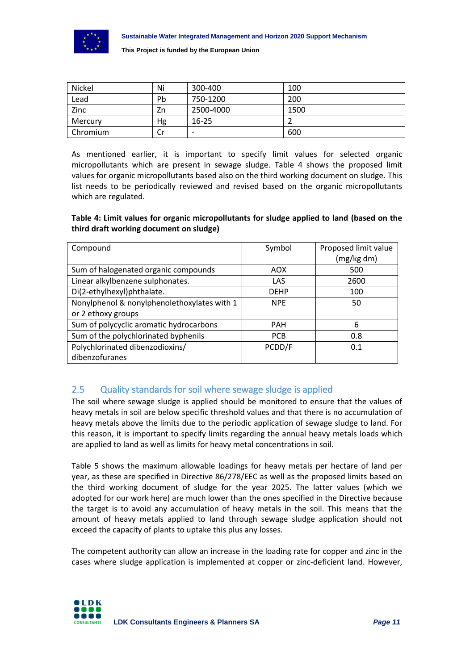

**This Project is funded by the European Union**

| Nickel   | Ni | 300-400                  | 100  |
|----------|----|--------------------------|------|
| Lead     | Pb | 750-1200                 | 200  |
| Zinc     | Zn | 2500-4000                | 1500 |
| Mercury  | Ηg | $16 - 25$                |      |
| Chromium | Cr | $\overline{\phantom{0}}$ | 600  |

As mentioned earlier, it is important to specify limit values for selected organic micropollutants which are present in sewage sludge. Table 4 shows the proposed limit values for organic micropollutants based also on the third working document on sludge. This list needs to be periodically reviewed and revised based on the organic micropollutants which are regulated.

<span id="page-10-1"></span>**Table 4: Limit values for organic micropollutants for sludge applied to land (based on the third draft working document on sludge)**

| Compound                                    | Symbol      | Proposed limit value |
|---------------------------------------------|-------------|----------------------|
|                                             |             | (mg/kg dm)           |
| Sum of halogenated organic compounds        | AOX         | 500                  |
| Linear alkylbenzene sulphonates.            | LAS         | 2600                 |
| Di(2-ethylhexyl)phthalate.                  | <b>DFHP</b> | 100                  |
| Nonylphenol & nonylphenolethoxylates with 1 | <b>NPF</b>  | 50                   |
| or 2 ethoxy groups                          |             |                      |
| Sum of polycyclic aromatic hydrocarbons     | <b>PAH</b>  | 6                    |
| Sum of the polychlorinated byphenils        | <b>PCB</b>  | 0.8                  |
| Polychlorinated dibenzodioxins/             | PCDD/F      | 0.1                  |
| dibenzofuranes                              |             |                      |

## <span id="page-10-0"></span>2.5 Quality standards for soil where sewage sludge is applied

The soil where sewage sludge is applied should be monitored to ensure that the values of heavy metals in soil are below specific threshold values and that there is no accumulation of heavy metals above the limits due to the periodic application of sewage sludge to land. For this reason, it is important to specify limits regarding the annual heavy metals loads which are applied to land as well as limits for heavy metal concentrations in soil.

Table 5 shows the maximum allowable loadings for heavy metals per hectare of land per year, as these are specified in Directive 86/278/EEC as well as the proposed limits based on the third working document of sludge for the year 2025. The latter values (which we adopted for our work here) are much lower than the ones specified in the Directive because the target is to avoid any accumulation of heavy metals in the soil. This means that the amount of heavy metals applied to land through sewage sludge application should not exceed the capacity of plants to uptake this plus any losses.

The competent authority can allow an increase in the loading rate for copper and zinc in the cases where sludge application is implemented at copper or zinc-deficient land. However,

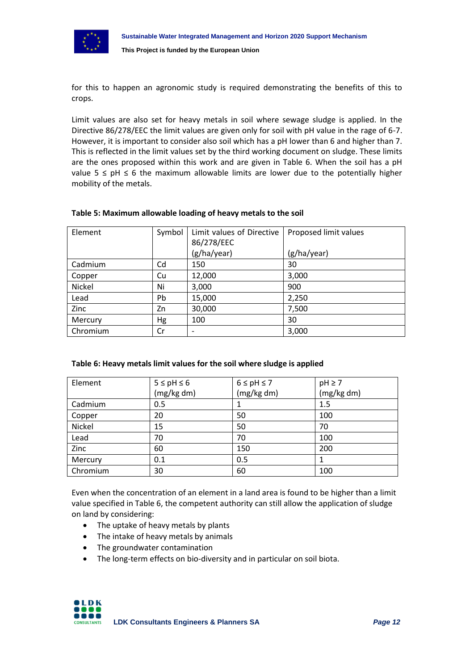

for this to happen an agronomic study is required demonstrating the benefits of this to crops.

Limit values are also set for heavy metals in soil where sewage sludge is applied. In the Directive 86/278/EEC the limit values are given only for soil with pH value in the rage of 6-7. However, it is important to consider also soil which has a pH lower than 6 and higher than 7. This is reflected in the limit values set by the third working document on sludge. These limits are the ones proposed within this work and are given in Table 6. When the soil has a pH value 5 ≤ pH ≤ 6 the maximum allowable limits are lower due to the potentially higher mobility of the metals.

| Element  | Symbol | Limit values of Directive<br>86/278/EEC | Proposed limit values |
|----------|--------|-----------------------------------------|-----------------------|
|          |        | (g/ha/year)                             | (g/ha/year)           |
| Cadmium  | Cd     | 150                                     | 30                    |
| Copper   | Cu     | 12,000                                  | 3,000                 |
| Nickel   | Ni     | 3,000                                   | 900                   |
| Lead     | Pb     | 15,000                                  | 2,250                 |
| Zinc     | Zn     | 30,000                                  | 7,500                 |
| Mercury  | Hg     | 100                                     | 30                    |
| Chromium | Cr     |                                         | 3,000                 |

#### <span id="page-11-0"></span>**Table 5: Maximum allowable loading of heavy metals to the soil**

#### <span id="page-11-1"></span>**Table 6: Heavy metals limit values for the soil where sludge is applied**

| Element  | $5 \leq pH \leq 6$ | $6 \leq pH \leq 7$ | $pH \geq 7$ |
|----------|--------------------|--------------------|-------------|
|          | (mg/kg dm)         | (mg/kg dm)         | (mg/kg dm)  |
| Cadmium  | 0.5                |                    | 1.5         |
| Copper   | 20                 | 50                 | 100         |
| Nickel   | 15                 | 50                 | 70          |
| Lead     | 70                 | 70                 | 100         |
| Zinc     | 60                 | 150                | 200         |
| Mercury  | 0.1                | 0.5                |             |
| Chromium | 30                 | 60                 | 100         |

Even when the concentration of an element in a land area is found to be higher than a limit value specified in Table 6, the competent authority can still allow the application of sludge on land by considering:

- The uptake of heavy metals by plants
- The intake of heavy metals by animals
- The groundwater contamination
- The long-term effects on bio-diversity and in particular on soil biota.

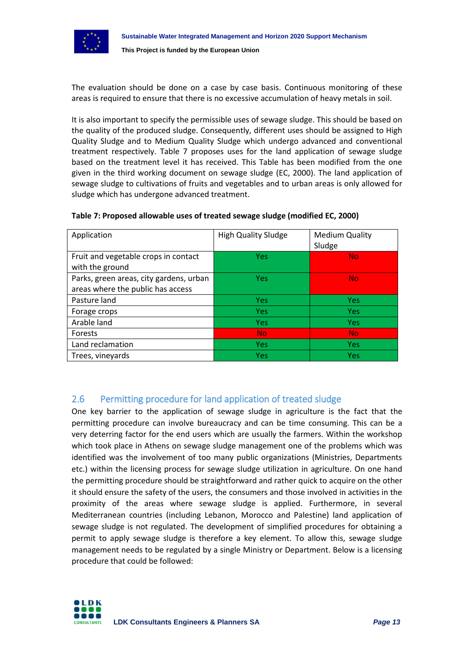

The evaluation should be done on a case by case basis. Continuous monitoring of these areas is required to ensure that there is no excessive accumulation of heavy metals in soil.

It is also important to specify the permissible uses of sewage sludge. This should be based on the quality of the produced sludge. Consequently, different uses should be assigned to High Quality Sludge and to Medium Quality Sludge which undergo advanced and conventional treatment respectively. Table 7 proposes uses for the land application of sewage sludge based on the treatment level it has received. This Table has been modified from the one given in the third working document on sewage sludge (EC, 2000). The land application of sewage sludge to cultivations of fruits and vegetables and to urban areas is only allowed for sludge which has undergone advanced treatment.

| Application                                                                  | <b>High Quality Sludge</b> | <b>Medium Quality</b><br>Sludge |
|------------------------------------------------------------------------------|----------------------------|---------------------------------|
| Fruit and vegetable crops in contact<br>with the ground                      | <b>Yes</b>                 | <b>No</b>                       |
| Parks, green areas, city gardens, urban<br>areas where the public has access | <b>Yes</b>                 | <b>No</b>                       |
| Pasture land                                                                 | <b>Yes</b>                 | <b>Yes</b>                      |
| Forage crops                                                                 | <b>Yes</b>                 | <b>Yes</b>                      |
| Arable land                                                                  | <b>Yes</b>                 | <b>Yes</b>                      |
| Forests                                                                      | <b>No</b>                  | <b>No</b>                       |
| Land reclamation                                                             | <b>Yes</b>                 | <b>Yes</b>                      |
| Trees, vineyards                                                             | <b>Yes</b>                 | <b>Yes</b>                      |

#### <span id="page-12-1"></span>**Table 7: Proposed allowable uses of treated sewage sludge (modified EC, 2000)**

## <span id="page-12-0"></span>2.6 Permitting procedure for land application of treated sludge

One key barrier to the application of sewage sludge in agriculture is the fact that the permitting procedure can involve bureaucracy and can be time consuming. This can be a very deterring factor for the end users which are usually the farmers. Within the workshop which took place in Athens on sewage sludge management one of the problems which was identified was the involvement of too many public organizations (Ministries, Departments etc.) within the licensing process for sewage sludge utilization in agriculture. On one hand the permitting procedure should be straightforward and rather quick to acquire on the other it should ensure the safety of the users, the consumers and those involved in activities in the proximity of the areas where sewage sludge is applied. Furthermore, in several Mediterranean countries (including Lebanon, Morocco and Palestine) land application of sewage sludge is not regulated. The development of simplified procedures for obtaining a permit to apply sewage sludge is therefore a key element. To allow this, sewage sludge management needs to be regulated by a single Ministry or Department. Below is a licensing procedure that could be followed:

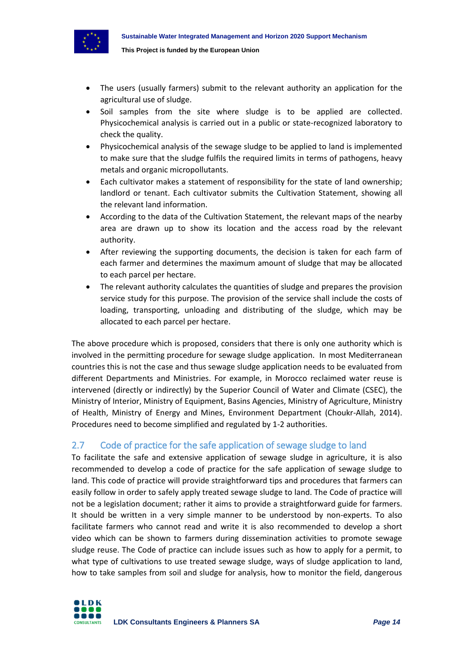

- The users (usually farmers) submit to the relevant authority an application for the agricultural use of sludge.
- Soil samples from the site where sludge is to be applied are collected. Physicochemical analysis is carried out in a public or state-recognized laboratory to check the quality.
- Physicochemical analysis of the sewage sludge to be applied to land is implemented to make sure that the sludge fulfils the required limits in terms of pathogens, heavy metals and organic micropollutants.
- Each cultivator makes a statement of responsibility for the state of land ownership; landlord or tenant. Each cultivator submits the Cultivation Statement, showing all the relevant land information.
- According to the data of the Cultivation Statement, the relevant maps of the nearby area are drawn up to show its location and the access road by the relevant authority.
- After reviewing the supporting documents, the decision is taken for each farm of each farmer and determines the maximum amount of sludge that may be allocated to each parcel per hectare.
- The relevant authority calculates the quantities of sludge and prepares the provision service study for this purpose. The provision of the service shall include the costs of loading, transporting, unloading and distributing of the sludge, which may be allocated to each parcel per hectare.

The above procedure which is proposed, considers that there is only one authority which is involved in the permitting procedure for sewage sludge application. In most Mediterranean countries this is not the case and thus sewage sludge application needs to be evaluated from different Departments and Ministries. For example, in Morocco reclaimed water reuse is intervened (directly or indirectly) by the Superior Council of Water and Climate (CSEC), the Ministry of Interior, Ministry of Equipment, Basins Agencies, Ministry of Agriculture, Ministry of Health, Ministry of Energy and Mines, Environment Department (Choukr-Allah, 2014). Procedures need to become simplified and regulated by 1-2 authorities.

## <span id="page-13-0"></span>2.7 Code of practice for the safe application of sewage sludge to land

To facilitate the safe and extensive application of sewage sludge in agriculture, it is also recommended to develop a code of practice for the safe application of sewage sludge to land. This code of practice will provide straightforward tips and procedures that farmers can easily follow in order to safely apply treated sewage sludge to land. The Code of practice will not be a legislation document; rather it aims to provide a straightforward guide for farmers. It should be written in a very simple manner to be understood by non-experts. To also facilitate farmers who cannot read and write it is also recommended to develop a short video which can be shown to farmers during dissemination activities to promote sewage sludge reuse. The Code of practice can include issues such as how to apply for a permit, to what type of cultivations to use treated sewage sludge, ways of sludge application to land, how to take samples from soil and sludge for analysis, how to monitor the field, dangerous

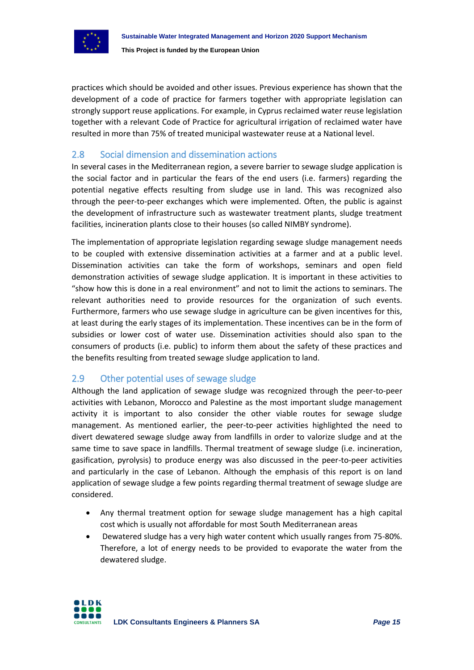

practices which should be avoided and other issues. Previous experience has shown that the development of a code of practice for farmers together with appropriate legislation can strongly support reuse applications. For example, in Cyprus reclaimed water reuse legislation together with a relevant Code of Practice for agricultural irrigation of reclaimed water have resulted in more than 75% of treated municipal wastewater reuse at a National level.

## <span id="page-14-0"></span>2.8 Social dimension and dissemination actions

In several cases in the Mediterranean region, a severe barrier to sewage sludge application is the social factor and in particular the fears of the end users (i.e. farmers) regarding the potential negative effects resulting from sludge use in land. This was recognized also through the peer-to-peer exchanges which were implemented. Often, the public is against the development of infrastructure such as wastewater treatment plants, sludge treatment facilities, incineration plants close to their houses (so called NIMBY syndrome).

The implementation of appropriate legislation regarding sewage sludge management needs to be coupled with extensive dissemination activities at a farmer and at a public level. Dissemination activities can take the form of workshops, seminars and open field demonstration activities of sewage sludge application. It is important in these activities to "show how this is done in a real environment" and not to limit the actions to seminars. The relevant authorities need to provide resources for the organization of such events. Furthermore, farmers who use sewage sludge in agriculture can be given incentives for this, at least during the early stages of its implementation. These incentives can be in the form of subsidies or lower cost of water use. Dissemination activities should also span to the consumers of products (i.e. public) to inform them about the safety of these practices and the benefits resulting from treated sewage sludge application to land.

## <span id="page-14-1"></span>2.9 Other potential uses of sewage sludge

Although the land application of sewage sludge was recognized through the peer-to-peer activities with Lebanon, Morocco and Palestine as the most important sludge management activity it is important to also consider the other viable routes for sewage sludge management. As mentioned earlier, the peer-to-peer activities highlighted the need to divert dewatered sewage sludge away from landfills in order to valorize sludge and at the same time to save space in landfills. Thermal treatment of sewage sludge (i.e. incineration, gasification, pyrolysis) to produce energy was also discussed in the peer-to-peer activities and particularly in the case of Lebanon. Although the emphasis of this report is on land application of sewage sludge a few points regarding thermal treatment of sewage sludge are considered.

- Any thermal treatment option for sewage sludge management has a high capital cost which is usually not affordable for most South Mediterranean areas
- Dewatered sludge has a very high water content which usually ranges from 75-80%. Therefore, a lot of energy needs to be provided to evaporate the water from the dewatered sludge.

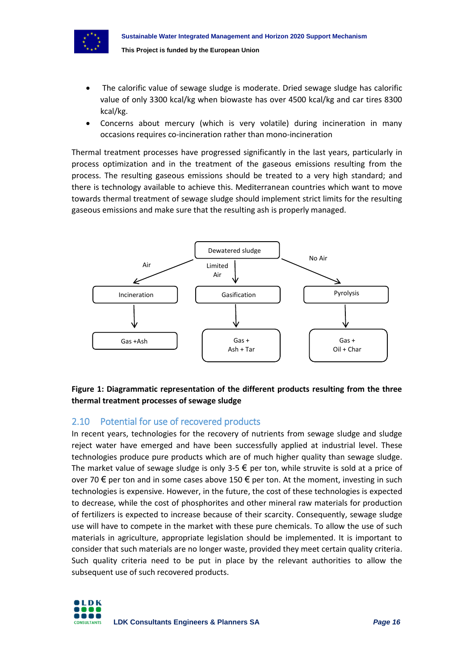

- The calorific value of sewage sludge is moderate. Dried sewage sludge has calorific value of only 3300 kcal/kg when biowaste has over 4500 kcal/kg and car tires 8300 kcal/kg.
- Concerns about mercury (which is very volatile) during incineration in many occasions requires co-incineration rather than mono-incineration

Thermal treatment processes have progressed significantly in the last years, particularly in process optimization and in the treatment of the gaseous emissions resulting from the process. The resulting gaseous emissions should be treated to a very high standard; and there is technology available to achieve this. Mediterranean countries which want to move towards thermal treatment of sewage sludge should implement strict limits for the resulting gaseous emissions and make sure that the resulting ash is properly managed.



<span id="page-15-1"></span>**Figure 1: Diagrammatic representation of the different products resulting from the three thermal treatment processes of sewage sludge** 

## <span id="page-15-0"></span>2.10 Potential for use of recovered products

In recent years, technologies for the recovery of nutrients from sewage sludge and sludge reject water have emerged and have been successfully applied at industrial level. These technologies produce pure products which are of much higher quality than sewage sludge. The market value of sewage sludge is only 3-5  $\epsilon$  per ton, while struvite is sold at a price of over 70  $\epsilon$  per ton and in some cases above 150  $\epsilon$  per ton. At the moment, investing in such technologies is expensive. However, in the future, the cost of these technologies is expected to decrease, while the cost of phosphorites and other mineral raw materials for production of fertilizers is expected to increase because of their scarcity. Consequently, sewage sludge use will have to compete in the market with these pure chemicals. To allow the use of such materials in agriculture, appropriate legislation should be implemented. It is important to consider that such materials are no longer waste, provided they meet certain quality criteria. Such quality criteria need to be put in place by the relevant authorities to allow the subsequent use of such recovered products.

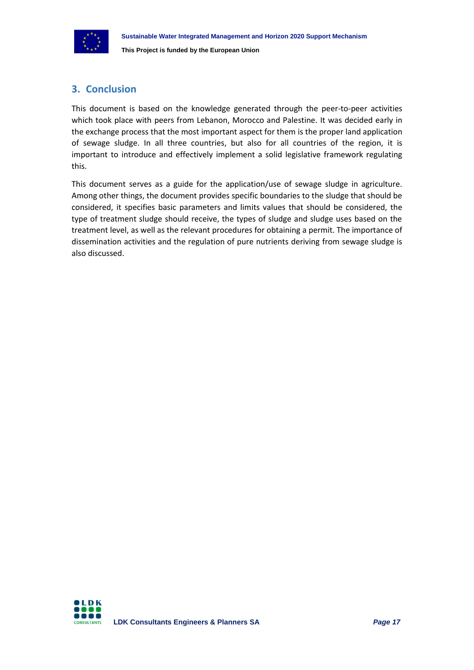

# <span id="page-16-0"></span>**3. Conclusion**

This document is based on the knowledge generated through the peer-to-peer activities which took place with peers from Lebanon, Morocco and Palestine. It was decided early in the exchange process that the most important aspect for them is the proper land application of sewage sludge. In all three countries, but also for all countries of the region, it is important to introduce and effectively implement a solid legislative framework regulating this.

This document serves as a guide for the application/use of sewage sludge in agriculture. Among other things, the document provides specific boundaries to the sludge that should be considered, it specifies basic parameters and limits values that should be considered, the type of treatment sludge should receive, the types of sludge and sludge uses based on the treatment level, as well as the relevant procedures for obtaining a permit. The importance of dissemination activities and the regulation of pure nutrients deriving from sewage sludge is also discussed.